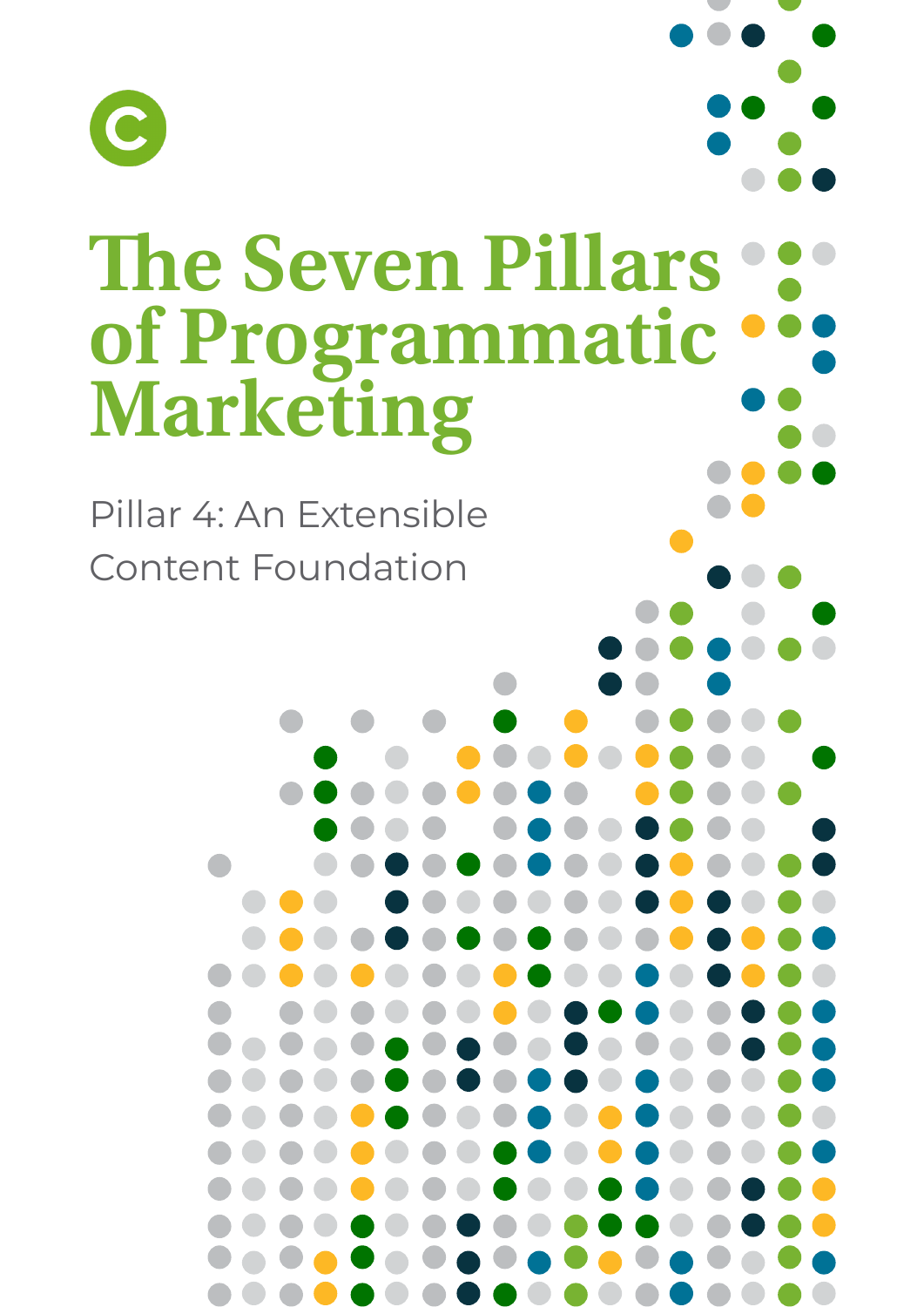

# **The Seven Pillars of Programmatic Marketing**

Pillar 4: An Extensible Content Foundation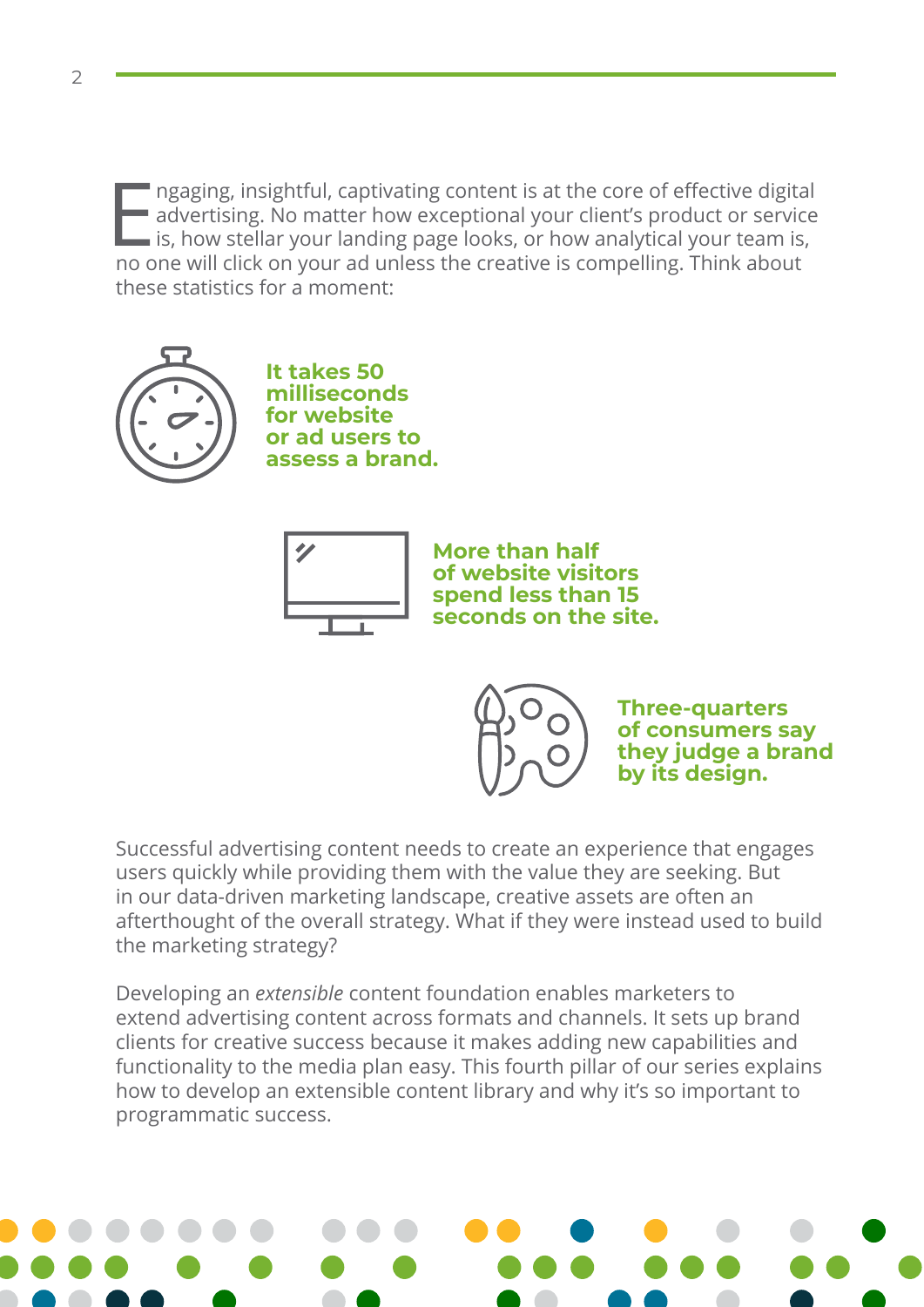Improvide advertising. No matter how exceptional your client's product or service<br>is, how stellar your landing page looks, or how analytical your team is,<br>no one will click on your ad unloss the creative is compelling. Thi advertising. No matter how exceptional your client's product or service is, how stellar your landing page looks, or how analytical your team is, no one will click on your ad unless the creative is compelling. Think about these statistics for a moment:



**It takes 50 milliseconds for website or ad users to assess a brand.**



**More than half of website visitors spend less than 15 seconds on the site.**

> **Three-quarters of consumers say they judge a brand by its design.**

Successful advertising content needs to create an experience that engages users quickly while providing them with the value they are seeking. But in our data-driven marketing landscape, creative assets are often an afterthought of the overall strategy. What if they were instead used to build the marketing strategy?

Developing an *extensible* content foundation enables marketers to extend advertising content across formats and channels. It sets up brand clients for creative success because it makes adding new capabilities and functionality to the media plan easy. This fourth pillar of our series explains how to develop an extensible content library and why it's so important to programmatic success.

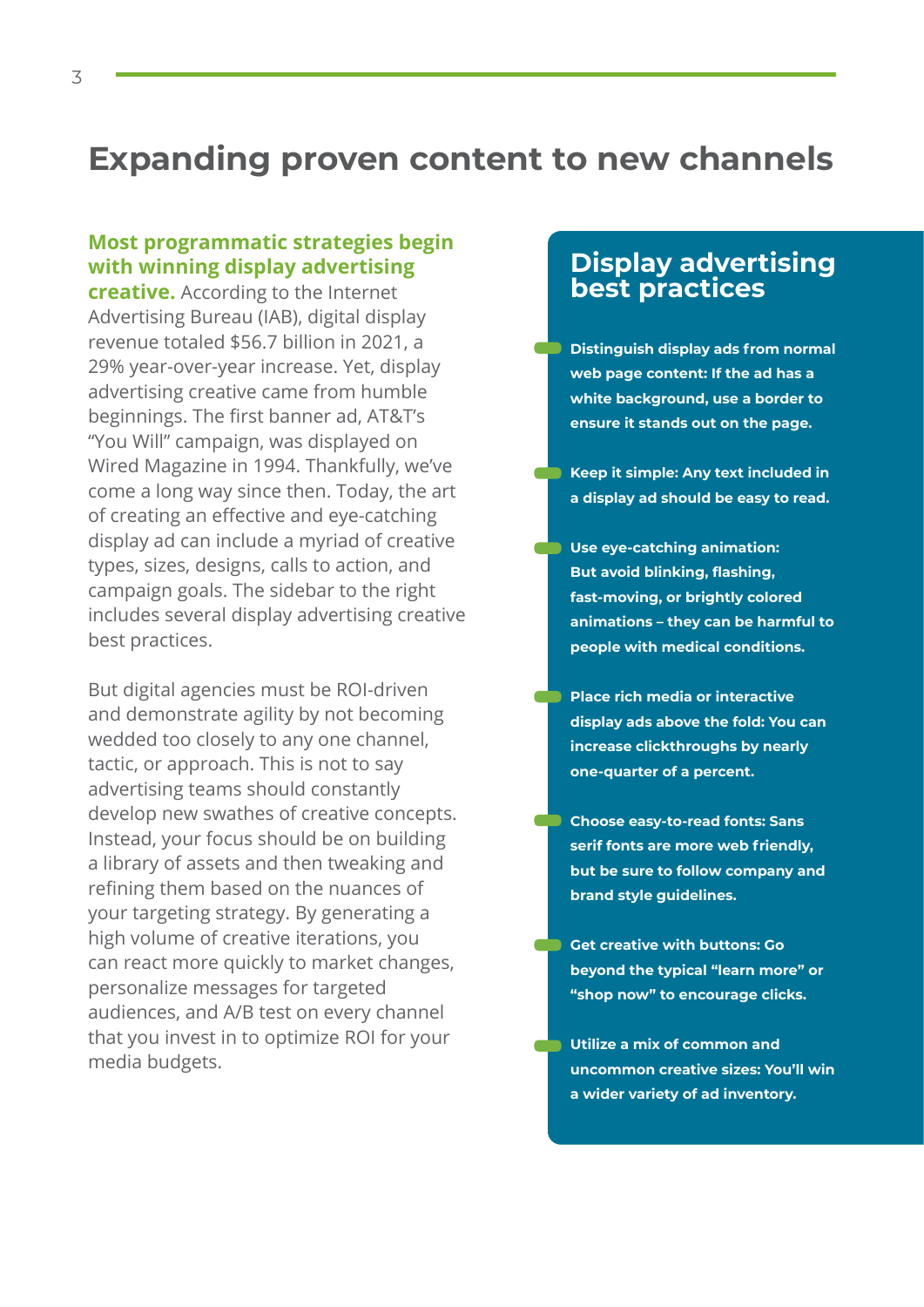## **Expanding proven content to new channels**

#### **Most programmatic strategies begin with winning display advertising**

**creative.** According to the Internet Advertising Bureau (IAB), digital display revenue totaled \$56.7 billion in 2021, a 29% year-over-year increase. Yet, display advertising creative came from humble beginnings. The first banner ad, AT&T's "You Will" campaign, was displayed on Wired Magazine in 1994. Thankfully, we've come a long way since then. Today, the art of creating an effective and eye-catching display ad can include a myriad of creative types, sizes, designs, calls to action, and campaign goals. The sidebar to the right includes several display advertising creative best practices.

But digital agencies must be ROI-driven and demonstrate agility by not becoming wedded too closely to any one channel, tactic, or approach. This is not to say advertising teams should constantly develop new swathes of creative concepts. Instead, your focus should be on building a library of assets and then tweaking and refining them based on the nuances of your targeting strategy. By generating a high volume of creative iterations, you can react more quickly to market changes, personalize messages for targeted audiences, and A/B test on every channel that you invest in to optimize ROI for your media budgets.

#### **Display advertising best practices**

- **Distinguish display ads from normal web page content: If the ad has a white background, use a border to ensure it stands out on the page.**
- **Keep it simple: Any text included in a display ad should be easy to read.**
- **Example 2 Use eye-catching animation: But avoid blinking, flashing, fast-moving, or brightly colored animations – they can be harmful to people with medical conditions.**
- **Place rich media or interactive display ads above the fold: You can increase clickthroughs by nearly one-quarter of a percent.**
- **Choose easy-to-read fonts: Sans serif fonts are more web friendly, but be sure to follow company and brand style guidelines.** 
	- **Get creative with buttons: Go beyond the typical "learn more" or "shop now" to encourage clicks.**
- **Utilize a mix of common and uncommon creative sizes: You'll win a wider variety of ad inventory.**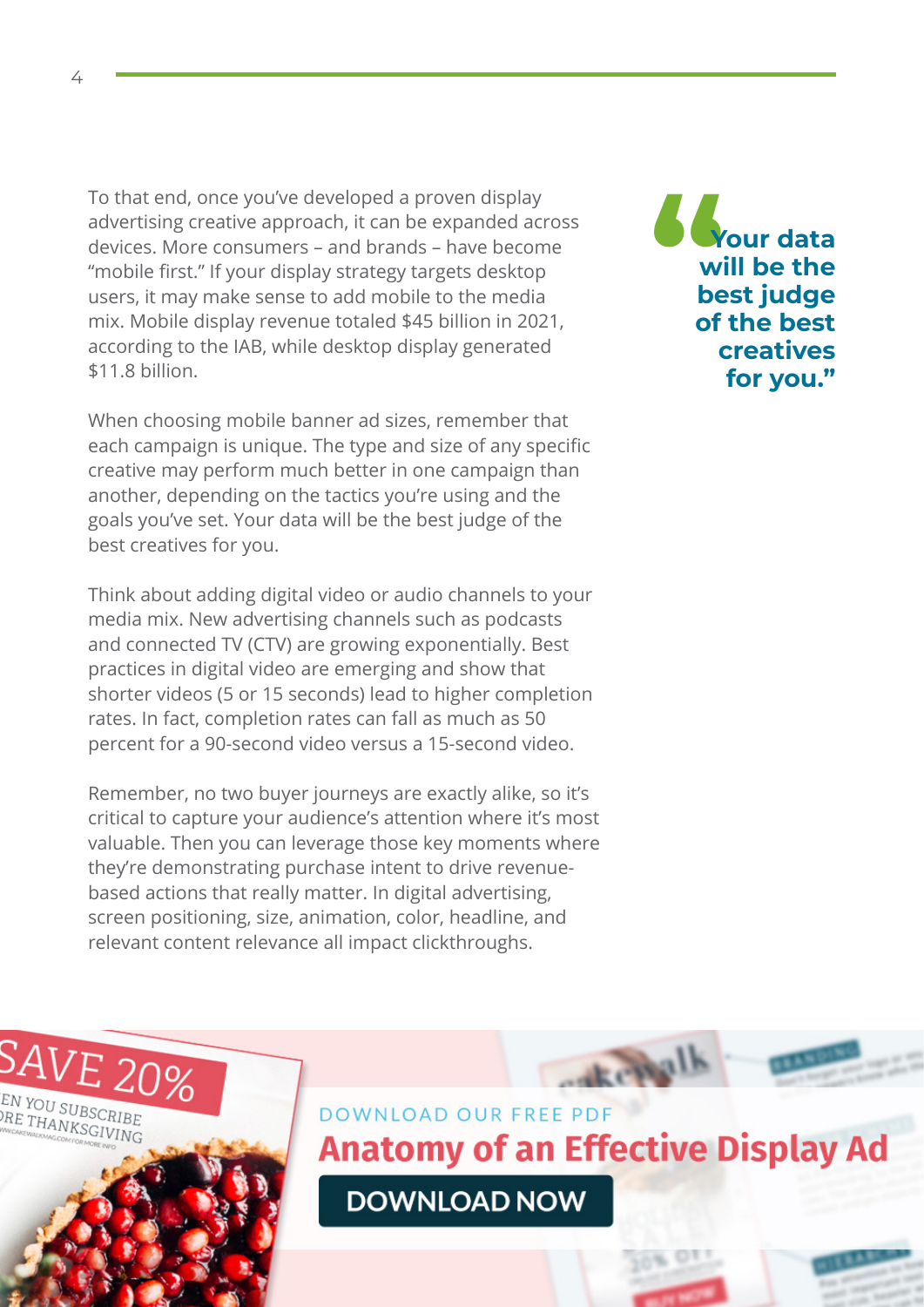To that end, once you've developed a proven display advertising creative approach, it can be expanded across devices. More consumers – and brands – have become "mobile first." If your display strategy targets desktop users, it may make sense to add mobile to the media mix. Mobile display revenue totaled \$45 billion in 2021, according to the IAB, while desktop display generated \$11.8 billion.

When choosing mobile banner ad sizes, remember that each campaign is unique. The type and size of any specific creative may perform much better in one campaign than another, depending on the tactics you're using and the goals you've set. Your data will be the best judge of the best creatives for you.

Think about adding digital video or audio channels to your media mix. New advertising channels such as podcasts and connected TV (CTV) are growing exponentially. Best practices in digital video are emerging and show that shorter videos (5 or 15 seconds) lead to higher completion rates. In fact, completion rates can fall as much as 50 percent for a 90-second video versus a 15-second video.

Remember, no two buyer journeys are exactly alike, so it's critical to capture your audience's attention where it's most valuable. Then you can leverage those key moments where they're demonstrating purchase intent to drive revenuebased actions that really matter. In digital advertising, screen positioning, size, animation, color, headline, and relevant content relevance all impact clickthroughs.

**" Your data will be the best judge of the best creatives for you."**

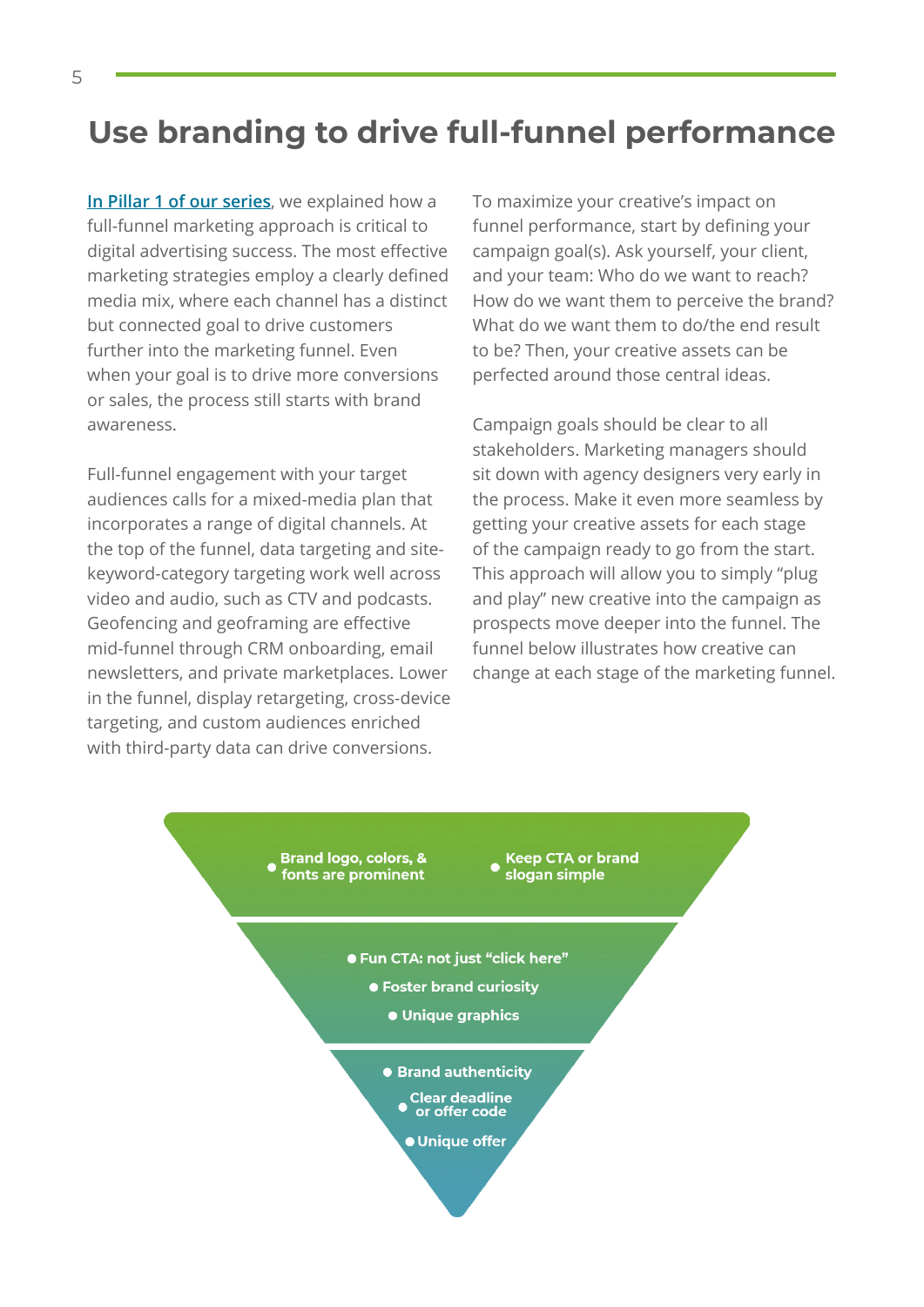## **Use branding to drive full-funnel performance**

**[In Pillar 1 of our series](https://choozle.com/wp-content/uploads/7PillarsCH1.pdf)**, we explained how a full-funnel marketing approach is critical to digital advertising success. The most effective marketing strategies employ a clearly defined media mix, where each channel has a distinct but connected goal to drive customers further into the marketing funnel. Even when your goal is to drive more conversions or sales, the process still starts with brand awareness.

Full-funnel engagement with your target audiences calls for a mixed-media plan that incorporates a range of digital channels. At the top of the funnel, data targeting and sitekeyword-category targeting work well across video and audio, such as CTV and podcasts. Geofencing and geoframing are effective mid-funnel through CRM onboarding, email newsletters, and private marketplaces. Lower in the funnel, display retargeting, cross-device targeting, and custom audiences enriched with third-party data can drive conversions.

To maximize your creative's impact on funnel performance, start by defining your campaign goal(s). Ask yourself, your client, and your team: Who do we want to reach? How do we want them to perceive the brand? What do we want them to do/the end result to be? Then, your creative assets can be perfected around those central ideas.

Campaign goals should be clear to all stakeholders. Marketing managers should sit down with agency designers very early in the process. Make it even more seamless by getting your creative assets for each stage of the campaign ready to go from the start. This approach will allow you to simply "plug and play" new creative into the campaign as prospects move deeper into the funnel. The funnel below illustrates how creative can change at each stage of the marketing funnel.